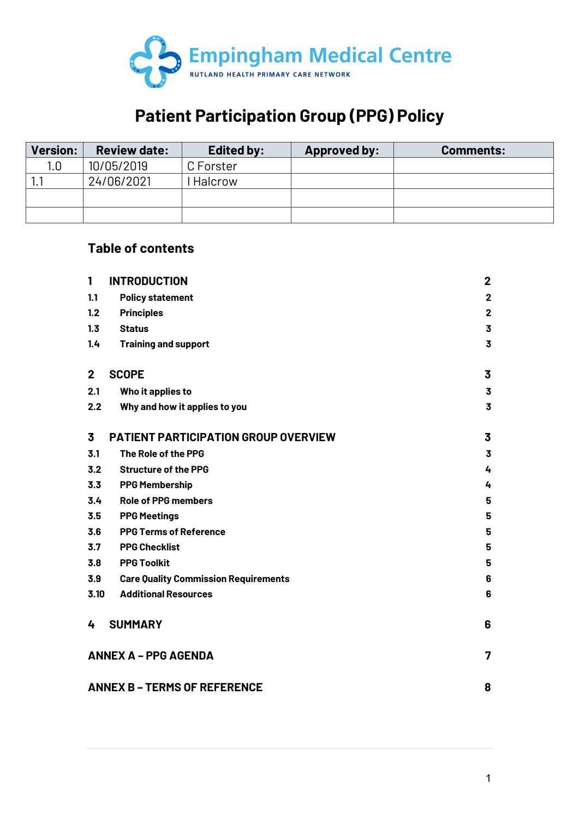

# **Patient Participation Group (PPG) Policy**

| <b>Version:</b> | <b>Review date:</b> | <b>Edited by:</b> | <b>Approved by:</b> | <b>Comments:</b> |
|-----------------|---------------------|-------------------|---------------------|------------------|
| 1.0             | 10/05/2019          | C Forster         |                     |                  |
|                 | 24/06/2021          | Halcrow           |                     |                  |
|                 |                     |                   |                     |                  |
|                 |                     |                   |                     |                  |

## **Table of contents**

| 1                                | <b>INTRODUCTION</b>                         | $\mathbf 2$             |  |
|----------------------------------|---------------------------------------------|-------------------------|--|
| 1.1                              | <b>Policy statement</b>                     | $\mathbf 2$             |  |
| 1.2                              | <b>Principles</b>                           | $\mathbf{2}$            |  |
| 1.3                              | <b>Status</b>                               | 3                       |  |
| 1.4                              | <b>Training and support</b>                 | $\overline{\mathbf{3}}$ |  |
|                                  |                                             |                         |  |
| $\mathbf{2}$                     | <b>SCOPE</b>                                | 3                       |  |
| 2.1                              | Who it applies to                           | 3                       |  |
| 2.2                              | Why and how it applies to you               | 3                       |  |
| 3                                | <b>PATIENT PARTICIPATION GROUP OVERVIEW</b> | 3                       |  |
| 3.1                              | The Role of the PPG                         | $\overline{\mathbf{3}}$ |  |
| 3.2                              | <b>Structure of the PPG</b>                 | 4                       |  |
| 3.3                              | <b>PPG Membership</b>                       | 4                       |  |
| 3.4                              | <b>Role of PPG members</b>                  | 5                       |  |
| 3.5                              | <b>PPG Meetings</b>                         | 5                       |  |
| 3.6                              | <b>PPG Terms of Reference</b>               | 5                       |  |
| 3.7                              | <b>PPG Checklist</b>                        | 5                       |  |
| 3.8                              | <b>PPG Toolkit</b>                          | 5                       |  |
| 3.9                              | <b>Care Quality Commission Requirements</b> | 6                       |  |
| 3.10                             | <b>Additional Resources</b>                 | 6                       |  |
|                                  |                                             |                         |  |
| 4                                | <b>SUMMARY</b>                              | 6                       |  |
| <b>ANNEX A - PPG AGENDA</b><br>7 |                                             |                         |  |
|                                  | <b>ANNEX B - TERMS OF REFERENCE</b><br>8    |                         |  |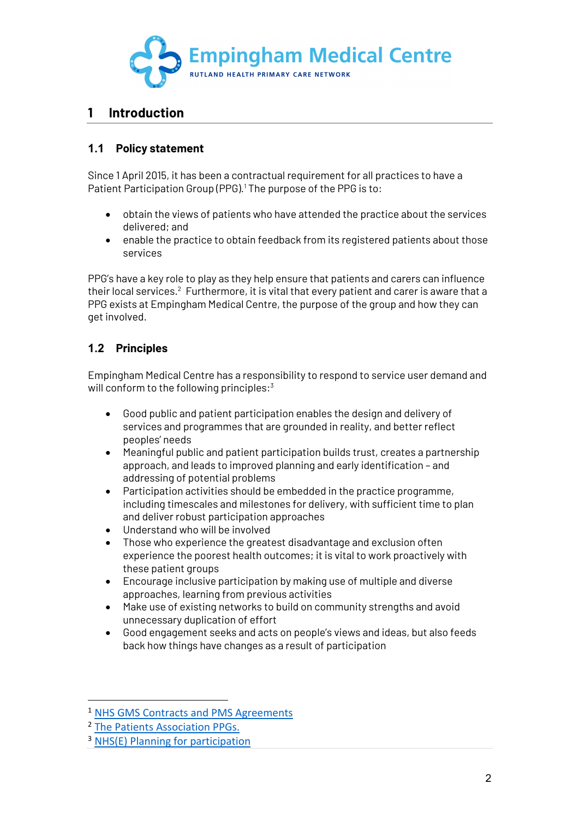

## **1 Introduction**

#### **1.1 Policy statement**

Since 1 April 2015, it has been a contractual requirement for all practices to have a Patient Participation Group (PPG).<sup>1</sup> The purpose of the PPG is to:

- obtain the views of patients who have attended the practice about the services delivered; and
- enable the practice to obtain feedback from its registered patients about those services

PPG's have a key role to play as they help ensure that patients and carers can influence their local services. $2$  Furthermore, it is vital that every patient and carer is aware that a PPG exists at Empingham Medical Centre, the purpose of the group and how they can get involved.

#### **1.2 Principles**

Empingham Medical Centre has a responsibility to respond to service user demand and will conform to the following principles:<sup>3</sup>

- Good public and patient participation enables the design and delivery of services and programmes that are grounded in reality, and better reflect peoples' needs
- Meaningful public and patient participation builds trust, creates a partnership approach, and leads to improved planning and early identification – and addressing of potential problems
- Participation activities should be embedded in the practice programme, including timescales and milestones for delivery, with sufficient time to plan and deliver robust participation approaches
- Understand who will be involved
- Those who experience the greatest disadvantage and exclusion often experience the poorest health outcomes; it is vital to work proactively with these patient groups
- Encourage inclusive participation by making use of multiple and diverse approaches, learning from previous activities
- Make use of existing networks to build on community strengths and avoid unnecessary duplication of effort
- Good engagement seeks and acts on people's views and ideas, but also feeds back how things have changes as a result of participation

<sup>1</sup> NHS GMS Contracts and PMS Agreements

<sup>2</sup> The Patients Association PPGs.

<sup>3</sup> NHS(E) Planning for participation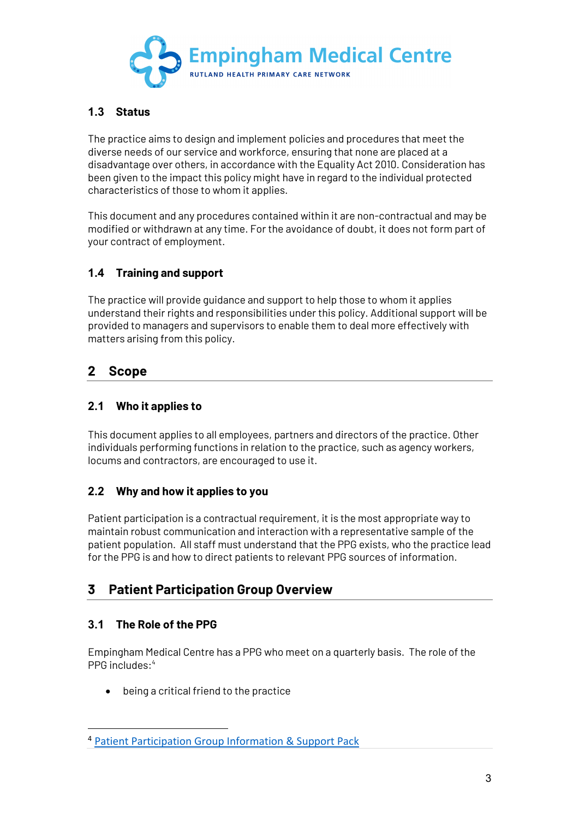

#### **1.3 Status**

The practice aims to design and implement policies and procedures that meet the diverse needs of our service and workforce, ensuring that none are placed at a disadvantage over others, in accordance with the Equality Act 2010. Consideration has been given to the impact this policy might have in regard to the individual protected characteristics of those to whom it applies.

This document and any procedures contained within it are non-contractual and may be modified or withdrawn at any time. For the avoidance of doubt, it does not form part of your contract of employment.

#### **1.4 Training and support**

The practice will provide guidance and support to help those to whom it applies understand their rights and responsibilities under this policy. Additional support will be provided to managers and supervisors to enable them to deal more effectively with matters arising from this policy.

## **2 Scope**

#### **2.1 Who it applies to**

This document applies to all employees, partners and directors of the practice. Other individuals performing functions in relation to the practice, such as agency workers, locums and contractors, are encouraged to use it.

#### **2.2 Why and how it applies to you**

Patient participation is a contractual requirement, it is the most appropriate way to maintain robust communication and interaction with a representative sample of the patient population. All staff must understand that the PPG exists, who the practice lead for the PPG is and how to direct patients to relevant PPG sources of information.

## **3 Patient Participation Group Overview**

#### **3.1 The Role of the PPG**

Empingham Medical Centre has a PPG who meet on a quarterly basis. The role of the PPG includes: 4

• being a critical friend to the practice

<sup>4</sup> Patient Participation Group Information & Support Pack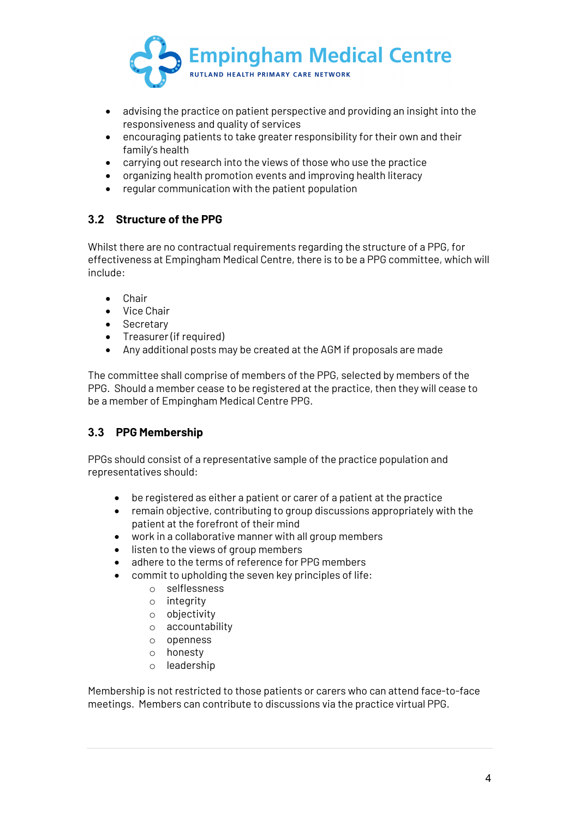

- advising the practice on patient perspective and providing an insight into the responsiveness and quality of services
- encouraging patients to take greater responsibility for their own and their family's health
- carrying out research into the views of those who use the practice
- organizing health promotion events and improving health literacy
- regular communication with the patient population

#### **3.2 Structure of the PPG**

Whilst there are no contractual requirements regarding the structure of a PPG, for effectiveness at Empingham Medical Centre, there is to be a PPG committee, which will include:

- Chair
- Vice Chair
- Secretary
- Treasurer (if required)
- Any additional posts may be created at the AGM if proposals are made

The committee shall comprise of members of the PPG, selected by members of the PPG. Should a member cease to be registered at the practice, then they will cease to be a member of Empingham Medical Centre PPG.

#### **3.3 PPG Membership**

PPGs should consist of a representative sample of the practice population and representatives should:

- be registered as either a patient or carer of a patient at the practice
- remain objective, contributing to group discussions appropriately with the patient at the forefront of their mind
- work in a collaborative manner with all group members
- listen to the views of group members
- adhere to the terms of reference for PPG members
- commit to upholding the seven key principles of life:
	- o selflessness
	- $\circ$  integrity
	- o objectivity
	- o accountability
	- o openness
	- o honesty
	- o leadership

Membership is not restricted to those patients or carers who can attend face-to-face meetings. Members can contribute to discussions via the practice virtual PPG.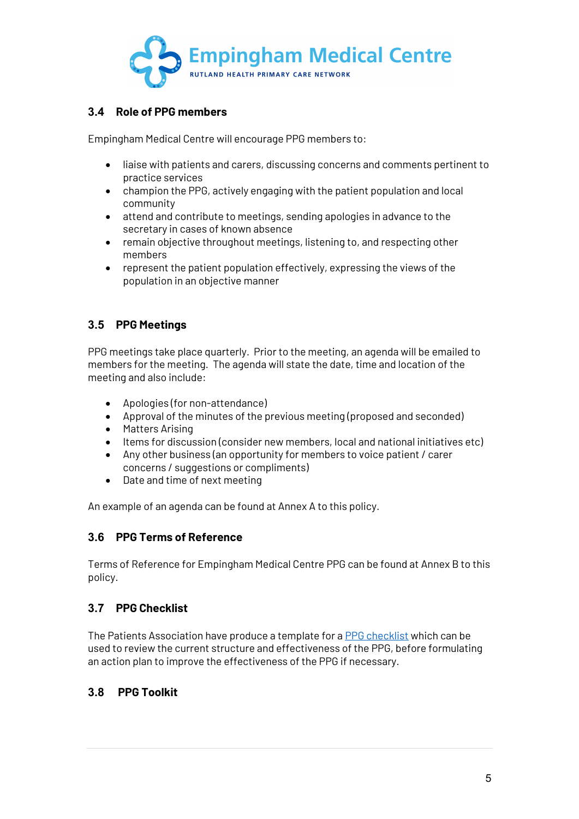

#### **3.4 Role of PPG members**

Empingham Medical Centre will encourage PPG members to:

- liaise with patients and carers, discussing concerns and comments pertinent to practice services
- champion the PPG, actively engaging with the patient population and local community
- attend and contribute to meetings, sending apologies in advance to the secretary in cases of known absence
- remain objective throughout meetings, listening to, and respecting other members
- represent the patient population effectively, expressing the views of the population in an objective manner

#### **3.5 PPG Meetings**

PPG meetings take place quarterly. Prior to the meeting, an agenda will be emailed to members for the meeting. The agenda will state the date, time and location of the meeting and also include:

- Apologies (for non-attendance)
- Approval of the minutes of the previous meeting (proposed and seconded)
- Matters Arising
- Items for discussion (consider new members, local and national initiatives etc)
- Any other business (an opportunity for members to voice patient / carer concerns / suggestions or compliments)
- Date and time of next meeting

An example of an agenda can be found at Annex A to this policy.

#### **3.6 PPG Terms of Reference**

Terms of Reference for Empingham Medical Centre PPG can be found at Annex B to this policy.

#### **3.7 PPG Checklist**

The Patients Association have produce a template for a PPG checklist which can be used to review the current structure and effectiveness of the PPG, before formulating an action plan to improve the effectiveness of the PPG if necessary.

#### **3.8 PPG Toolkit**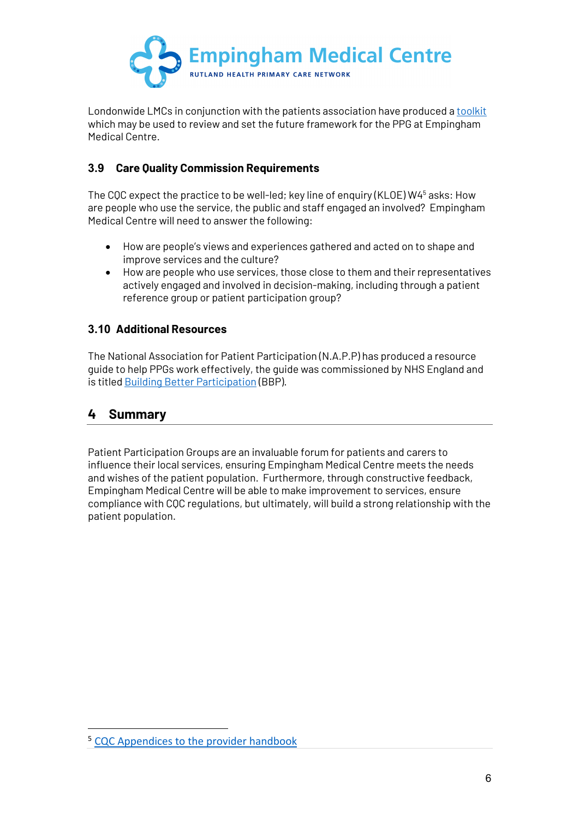

Londonwide LMCs in conjunction with the patients association have produced a toolkit which may be used to review and set the future framework for the PPG at Empingham Medical Centre.

#### **3.9 Care Quality Commission Requirements**

The CQC expect the practice to be well-led; key line of enquiry (KLOE) W45 asks: How are people who use the service, the public and staff engaged an involved? Empingham Medical Centre will need to answer the following:

- How are people's views and experiences gathered and acted on to shape and improve services and the culture?
- How are people who use services, those close to them and their representatives actively engaged and involved in decision-making, including through a patient reference group or patient participation group?

#### **3.10 Additional Resources**

The National Association for Patient Participation (N.A.P.P) has produced a resource guide to help PPGs work effectively, the guide was commissioned by NHS England and is titled Building Better Participation (BBP).

#### **4 Summary**

Patient Participation Groups are an invaluable forum for patients and carers to influence their local services, ensuring Empingham Medical Centre meets the needs and wishes of the patient population. Furthermore, through constructive feedback, Empingham Medical Centre will be able to make improvement to services, ensure compliance with CQC regulations, but ultimately, will build a strong relationship with the patient population.

<sup>5</sup> CQC Appendices to the provider handbook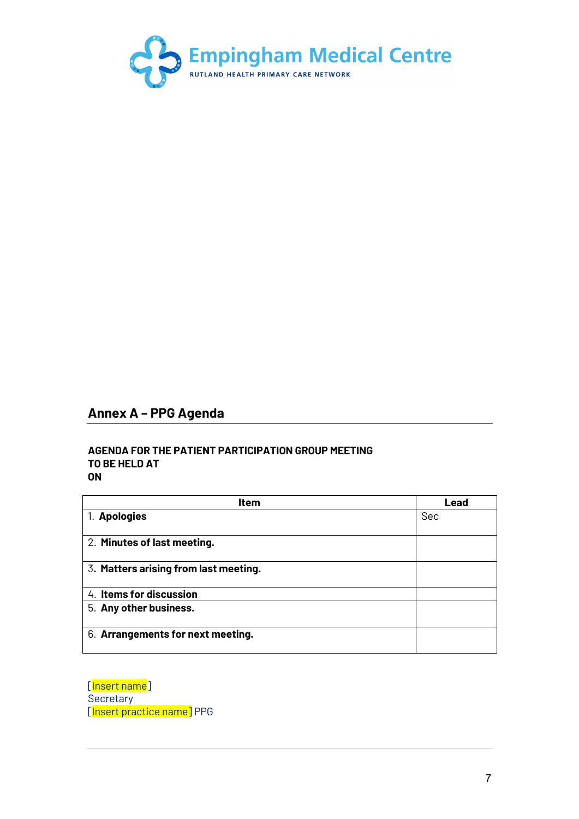

## **Annex A – PPG Agenda**

#### **AGENDA FOR THE PATIENT PARTICIPATION GROUP MEETING TO BE HELD AT ON**

| Item                                  | Lead |
|---------------------------------------|------|
| 1. Apologies                          | Sec  |
| 2. Minutes of last meeting.           |      |
| 3. Matters arising from last meeting. |      |
| 4. Items for discussion               |      |
| 5. Any other business.                |      |
| 6. Arrangements for next meeting.     |      |

[Insert name] **Secretary** [Insert practice name] PPG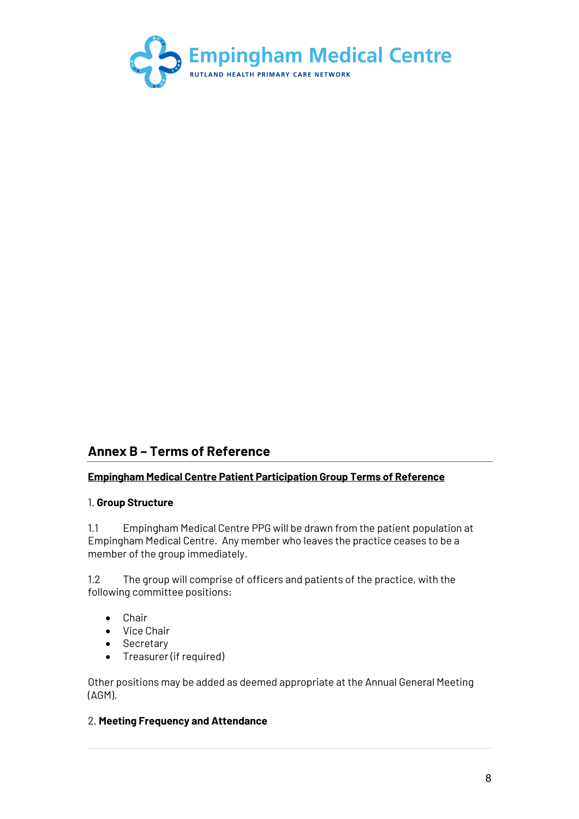

## **Annex B – Terms of Reference**

#### **Empingham Medical Centre Patient Participation Group Terms of Reference**

#### 1. **Group Structure**

1.1 Empingham Medical Centre PPG will be drawn from the patient population at Empingham Medical Centre. Any member who leaves the practice ceases to be a member of the group immediately.

1.2 The group will comprise of officers and patients of the practice, with the following committee positions:

- Chair
- Vice Chair
- Secretary
- Treasurer (if required)

Other positions may be added as deemed appropriate at the Annual General Meeting (AGM).

#### 2. **Meeting Frequency and Attendance**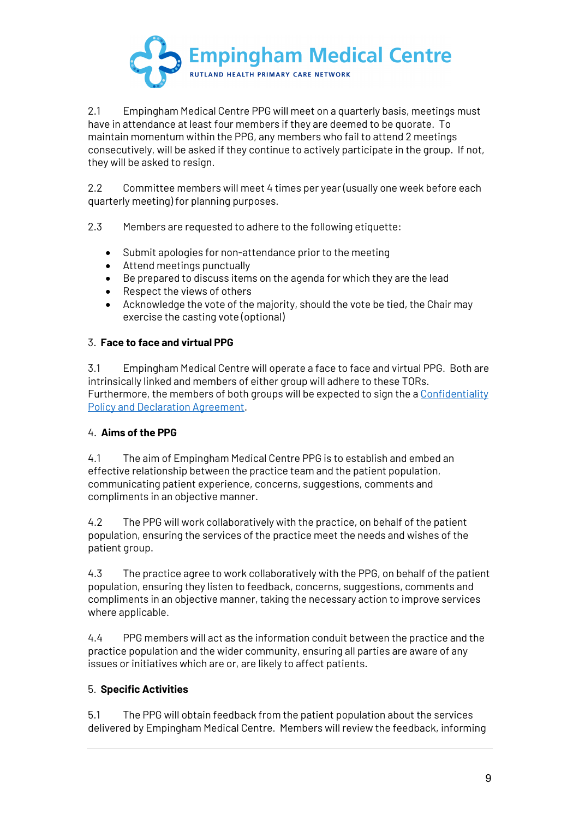

2.1 Empingham Medical Centre PPG will meet on a quarterly basis, meetings must have in attendance at least four members if they are deemed to be quorate. To maintain momentum within the PPG, any members who fail to attend 2 meetings consecutively, will be asked if they continue to actively participate in the group. If not, they will be asked to resign.

2.2 Committee members will meet 4 times per year (usually one week before each quarterly meeting) for planning purposes.

2.3 Members are requested to adhere to the following etiquette:

- Submit apologies for non-attendance prior to the meeting
- Attend meetings punctually
- Be prepared to discuss items on the agenda for which they are the lead
- Respect the views of others
- Acknowledge the vote of the majority, should the vote be tied, the Chair may exercise the casting vote (optional)

#### 3. **Face to face and virtual PPG**

3.1 Empingham Medical Centre will operate a face to face and virtual PPG. Both are intrinsically linked and members of either group will adhere to these TORs. Furthermore, the members of both groups will be expected to sign the a Confidentiality Policy and Declaration Agreement.

#### 4. **Aims of the PPG**

4.1 The aim of Empingham Medical Centre PPG is to establish and embed an effective relationship between the practice team and the patient population, communicating patient experience, concerns, suggestions, comments and compliments in an objective manner.

4.2 The PPG will work collaboratively with the practice, on behalf of the patient population, ensuring the services of the practice meet the needs and wishes of the patient group.

4.3 The practice agree to work collaboratively with the PPG, on behalf of the patient population, ensuring they listen to feedback, concerns, suggestions, comments and compliments in an objective manner, taking the necessary action to improve services where applicable.

4.4 PPG members will act as the information conduit between the practice and the practice population and the wider community, ensuring all parties are aware of any issues or initiatives which are or, are likely to affect patients.

#### 5. **Specific Activities**

5.1 The PPG will obtain feedback from the patient population about the services delivered by Empingham Medical Centre. Members will review the feedback, informing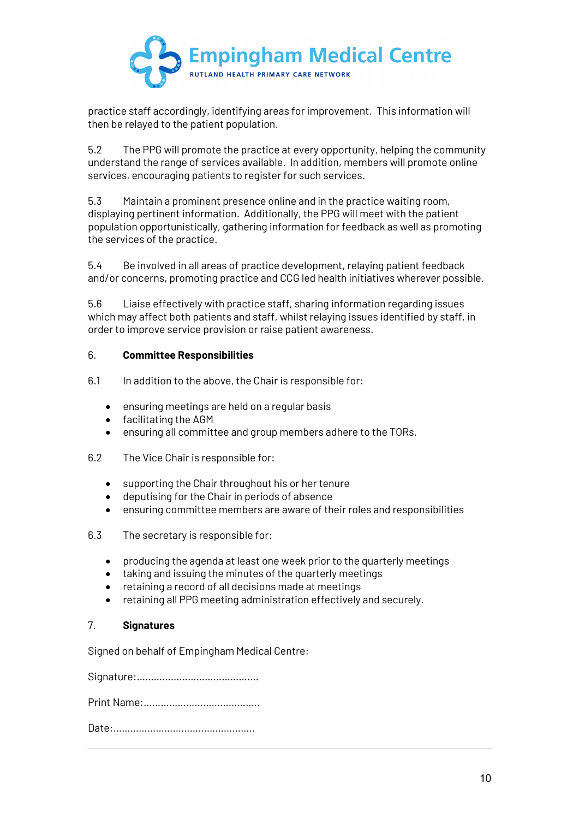

practice staff accordingly, identifying areas for improvement. This information will then be relayed to the patient population.

5.2 The PPG will promote the practice at every opportunity, helping the community understand the range of services available. In addition, members will promote online services, encouraging patients to register for such services.

5.3 Maintain a prominent presence online and in the practice waiting room, displaying pertinent information. Additionally, the PPG will meet with the patient population opportunistically, gathering information for feedback as well as promoting the services of the practice.

5.4 Be involved in all areas of practice development, relaying patient feedback and/or concerns, promoting practice and CCG led health initiatives wherever possible.

5.6 Liaise effectively with practice staff, sharing information regarding issues which may affect both patients and staff, whilst relaying issues identified by staff, in order to improve service provision or raise patient awareness.

#### 6. **Committee Responsibilities**

- 6.1 In addition to the above, the Chair is responsible for:
	- ensuring meetings are held on a regular basis
	- facilitating the AGM
	- ensuring all committee and group members adhere to the TORs.
- 6.2 The Vice Chair is responsible for:
	- supporting the Chair throughout his or her tenure
	- deputising for the Chair in periods of absence
	- ensuring committee members are aware of their roles and responsibilities
- 6.3 The secretary is responsible for:
	- producing the agenda at least one week prior to the quarterly meetings
	- taking and issuing the minutes of the quarterly meetings
	- retaining a record of all decisions made at meetings
	- retaining all PPG meeting administration effectively and securely.

#### 7. **Signatures**

Signed on behalf of Empingham Medical Centre:

Signature:…………………………………….

Print Name:…………………………………..

Date:…………………………………………..